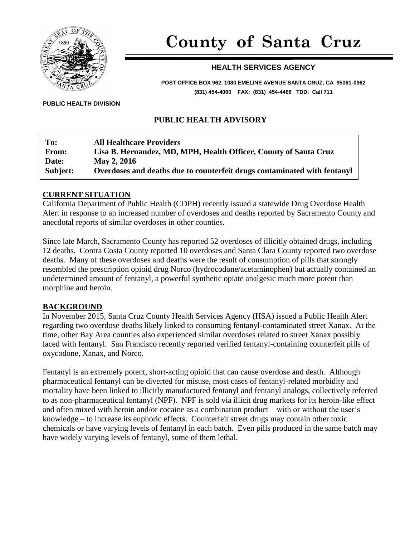

# **County of Santa Cruz**

# **HEALTH SERVICES AGENCY**

**POST OFFICE BOX 962, 1080 EMELINE AVENUE SANTA CRUZ, CA 95061-0962 (831) 454-4000 FAX: (831) 454-4488 TDD: Call 711**

**PUBLIC HEALTH DIVISION**

# **PUBLIC HEALTH ADVISORY**

| To:      | <b>All Healthcare Providers</b>                                          |
|----------|--------------------------------------------------------------------------|
| From:    | Lisa B. Hernandez, MD, MPH, Health Officer, County of Santa Cruz         |
| Date:    | May 2, 2016                                                              |
| Subject: | Overdoses and deaths due to counterfeit drugs contaminated with fentanyl |

#### **CURRENT SITUATION**

California Department of Public Health (CDPH) recently issued a statewide Drug Overdose Health Alert in response to an increased number of overdoses and deaths reported by Sacramento County and anecdotal reports of similar overdoses in other counties.

Since late March, Sacramento County has reported 52 overdoses of illicitly obtained drugs, including 12 deaths. Contra Costa County reported 10 overdoses and Santa Clara County reported two overdose deaths. Many of these overdoses and deaths were the result of consumption of pills that strongly resembled the prescription opioid drug Norco (hydrocodone/acetaminophen) but actually contained an undetermined amount of fentanyl, a powerful synthetic opiate analgesic much more potent than morphine and heroin.

#### **BACKGROUND**

In November 2015, Santa Cruz County Health Services Agency (HSA) issued a Public Health Alert regarding two overdose deaths likely linked to consuming fentanyl-contaminated street Xanax. At the time, other Bay Area counties also experienced similar overdoses related to street Xanax possibly laced with fentanyl. San Francisco recently reported verified fentanyl-containing counterfeit pills of oxycodone, Xanax, and Norco.

Fentanyl is an extremely potent, short-acting opioid that can cause overdose and death. Although pharmaceutical fentanyl can be diverted for misuse, most cases of fentanyl-related morbidity and mortality have been linked to illicitly manufactured fentanyl and fentanyl analogs, collectively referred to as non-pharmaceutical fentanyl (NPF). NPF is sold via illicit drug markets for its heroin-like effect and often mixed with heroin and/or cocaine as a combination product – with or without the user's knowledge – to increase its euphoric effects. Counterfeit street drugs may contain other toxic chemicals or have varying levels of fentanyl in each batch. Even pills produced in the same batch may have widely varying levels of fentanyl, some of them lethal.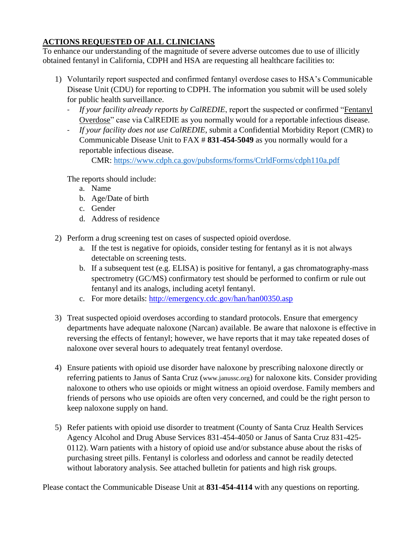# **ACTIONS REQUESTED OF ALL CLINICIANS**

To enhance our understanding of the magnitude of severe adverse outcomes due to use of illicitly obtained fentanyl in California, CDPH and HSA are requesting all healthcare facilities to:

- 1) Voluntarily report suspected and confirmed fentanyl overdose cases to HSA's Communicable Disease Unit (CDU) for reporting to CDPH. The information you submit will be used solely for public health surveillance.
	- *If your facility already reports by CalREDIE*, report the suspected or confirmed "Fentanyl Overdose" case via CalREDIE as you normally would for a reportable infectious disease.
	- *If your facility does not use CalREDIE*, submit a Confidential Morbidity Report (CMR) to Communicable Disease Unit to FAX # **831-454-5049** as you normally would for a reportable infectious disease.

CMR:<https://www.cdph.ca.gov/pubsforms/forms/CtrldForms/cdph110a.pdf>

The reports should include:

- a. Name
- b. Age/Date of birth
- c. Gender
- d. Address of residence
- 2) Perform a drug screening test on cases of suspected opioid overdose.
	- a. If the test is negative for opioids, consider testing for fentanyl as it is not always detectable on screening tests.
	- b. If a subsequent test (e.g. ELISA) is positive for fentanyl, a gas chromatography-mass spectrometry (GC/MS) confirmatory test should be performed to confirm or rule out fentanyl and its analogs, including acetyl fentanyl.
	- c. For more details:<http://emergency.cdc.gov/han/han00350.asp>
- 3) Treat suspected opioid overdoses according to standard protocols. Ensure that emergency departments have adequate naloxone (Narcan) available. Be aware that naloxone is effective in reversing the effects of fentanyl; however, we have reports that it may take repeated doses of naloxone over several hours to adequately treat fentanyl overdose.
- 4) Ensure patients with opioid use disorder have naloxone by prescribing naloxone directly or referring patients to Janus of Santa Cruz (www.janussc.org) for naloxone kits. Consider providing naloxone to others who use opioids or might witness an opioid overdose. Family members and friends of persons who use opioids are often very concerned, and could be the right person to keep naloxone supply on hand.
- 5) Refer patients with opioid use disorder to treatment (County of Santa Cruz Health Services Agency Alcohol and Drug Abuse Services 831-454-4050 or Janus of Santa Cruz 831-425- 0112). Warn patients with a history of opioid use and/or substance abuse about the risks of purchasing street pills. Fentanyl is colorless and odorless and cannot be readily detected without laboratory analysis. See attached bulletin for patients and high risk groups.

Please contact the Communicable Disease Unit at **831-454-4114** with any questions on reporting.